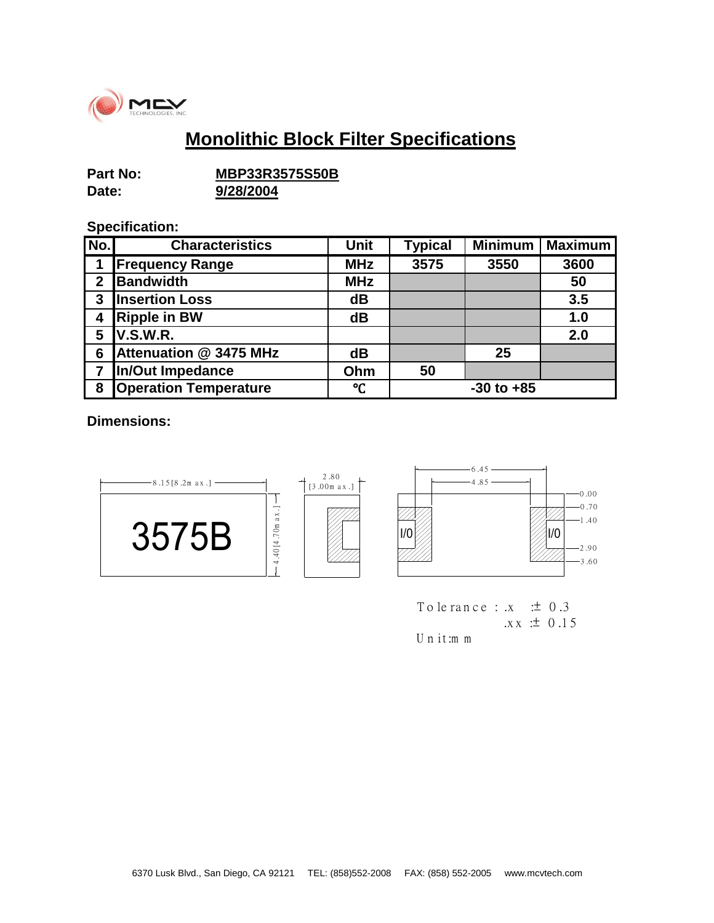

## **Monolithic Block Filter Specifications**

| Part No: | <b>MBP33R3575S50B</b> |  |  |
|----------|-----------------------|--|--|
| Date:    | 9/28/2004             |  |  |

## **Specification:**

| No.            | <b>Characteristics</b>       | <b>Unit</b> | <b>Typical</b> | <b>Minimum</b> | <b>Maximum</b> |
|----------------|------------------------------|-------------|----------------|----------------|----------------|
| 1              | <b>Frequency Range</b>       | <b>MHz</b>  | 3575           | 3550           | 3600           |
| $\overline{2}$ | Bandwidth                    | <b>MHz</b>  |                |                | 50             |
| 3              | <b>Insertion Loss</b>        | dB          |                |                | 3.5            |
| 4              | <b>Ripple in BW</b>          | dB          |                |                | 1.0            |
| 5              | <b>V.S.W.R.</b>              |             |                |                | 2.0            |
| 6              | Attenuation @ 3475 MHz       | dB          |                | 25             |                |
| 7              | In/Out Impedance             | Ohm         | 50             |                |                |
| 8              | <b>Operation Temperature</b> | °C          |                | $-30$ to $+85$ |                |

**Dimensions:**